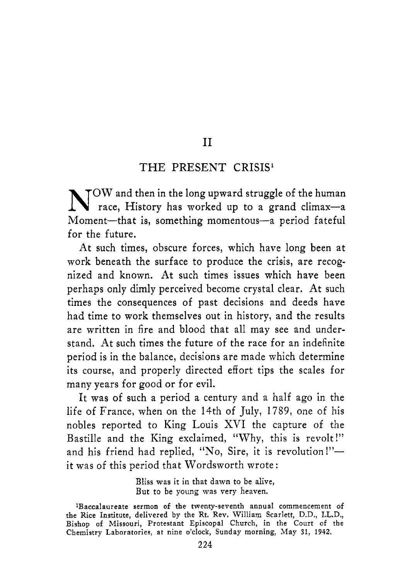### $\overline{1}$

#### THE PRESENT CRISIS'

N<sup>OW</sup> and then in the long upward struggle of the human race, History has worked up to a grand climax-a Moment-that is, something momentous-a period fateful for the future.

At such times, obscure forces, which have long been at work beneath the surface to produce the crisis, are recognized and known. At such times issues which have been perhaps only dimly perceived become crystal clear. At such times the consequences of past decisions and deeds have had time to work themselves out in history, and the results are written in fire and blood that all may see and understand. At such times the future of the race for an indefinite period is in the balance, decisions are made which determine its course, and properly directed effort tips the scales for many years for good or for evil.

It was of such a period a century and a half ago in the life of France, when on the 14th of July, 1789, one of his nobles reported to King Louis XVI the capture of the Bastille and the King exclaimed, "Why, this is revolt I" and his friend had replied, "No, Sire, it is revolution!" $$ it was of this period that Wordsworth wrote :

> Bliss was it in that dawn *to* be alive, But to be young was very heaven.

<sup>&#</sup>x27;Baccalaureate sermon of the twenty-seventh annual commencement of the Rice Institute, delivered **by** the Rt. Rev. William Scarlett, D.D., LL.D., Bishop of Missouri, Protestant Episcopal Church, in the Court of the Chemistry Laboratories, at nine o'clock, Sunday morning, May **31, 1942.**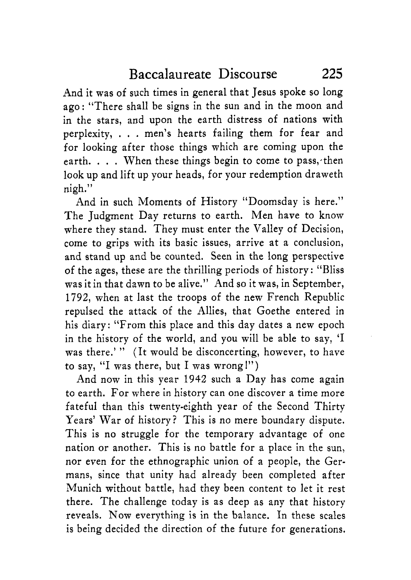And it was of such times in general that Jesus spoke so long ago: "There shall be signs in the sun and in the moon and in the stars, and upon the earth distress of nations with perplexity, , . . men's hearts failing them for fear and for looking after those things which are coming upon the earth. . . . When these things begin to come to pass, then look up and lift up your heads, for your redemption draweth nigh."

And in such Moments of History "Doomsday is here." The Judgment Day returns to earth. Men have to know where they stand. They must enter the Valley of Decision, come to grips with its basic issues, arrive at a conclusion, and stand up and be counted. Seen in the long perspective of the ages, these are the thrilling periods of history: "Bliss was it in that dawn to be alive." And so it was, in September, 1792, when at last the troops of the new French Republic repulsed the attack of the Allies, that Goethe entered in his diary: "From this place and this day dates a new epoch in the history of the world, and you will be able to say, 'I was there.'" (It would be disconcerting, however, to have to say, "I was there, but I was wrong!")

And now in this year 1942 such a Day has come again to earth. For where in history can one discover a time more fateful than this twenty-eighth year of the Second Thirty Years' War of history? This is no mere boundary dispute. This is no struggle for the temporary advantage of one nation or another. This is no battle for a place in the sun, nor even for the ethnographic union of a people, the Germans, since that unity had already been completed after Munich without battle, had they been content to let it rest there. The challenge today is as deep as any that history reveals. Now everything is in the balance. In these scales is being decided the direction of the future for generations.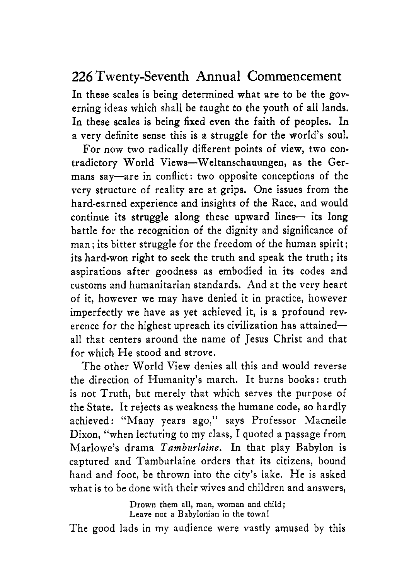In these scales is being determined what are to be the governing ideas which shall be taught to the youth of all lands. In these scales is being fixed even the faith of peoples. In a very definite sense this is a struggle for the world's soul.

For now two radically different points of view, two contradictory World Views-Weltanschauungen, as the Germans say—are in conflict: two opposite conceptions of the very structure of reality are at grips. One issues from the hard-earned experience and insights of the Race, and would continue its struggle along these upward lines- its long battle for the recognition of the dignity and significance of man: its bitter struggle for the freedom of the human spirit: its hard-won right to seek the truth and speak the truth; its aspirations after goodness as embodied in its codes and customs and humanitarian standards. And at the very heart of it, however we may have denied it in practice, however imperfectly we have as yet achieved it, is a profound reverence for the highest upreach its civilization has attainedall that centers around the name of Jesus Christ and that for which He stood and strove.

The other World View denies all this and would reverse the direction of Humanity's march. It burns books: truth is not Truth, but merely that which serves the purpose of the State. It rejects as weakness the humane code, so hardly achieved: "Many years ago," says Professor Macneile Dixon, "when lecturing to my class, I quoted a passage from Marlowe's drama *Tamburlaine.* In that play Babylon is captured and Tamburlaine orders that its citizens, bound hand and foot, be thrown into the city's lake. He is asked what is to be done with their wives and children and answers,

> **Drown** them all, man, woman and child; Leave not a Babylonian in the town!

The good lads in my audience were vastly amused by this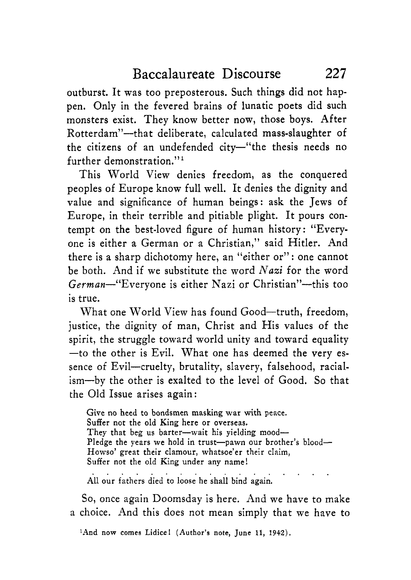outburst. It was too preposterous. Such things did not happen. Only in the fevered brains of lunatic poets did such monsters exist. They know better now, those boys. After Rotterdam"-that deliberate, calculated mass-slaughter of the citizens of an undefended city-"the thesis needs no further demonstration."'

This World View denies freedom, as the conquered peoples of Europe know full well. It denies the dignity and value and significance of human beings: ask the Jews of Europe, in their terrible and pitiable plight. It pours contempt on the best-loved figure of human history: "Everyone is either a German or a Christian,'' said Hitler. And there is a sharp dichotomy here, an "either or" : one cannot be both. And if we substitute the word *Nazi* for the word German-"Everyone is either Nazi or Christian"-this too is true.

What one World View has found Good-truth, freedom, justice, the dignity of man, Christ and His values of the spirit, the struggle toward world unity and toward equality -to the other is Evil. What one has deemed the very essence of Evil-cruelty, brutality, slavery, falsehood, racialism-by the other is exalted to the level of Good. So that the Old Issue arises again:

Give no heed to bondsmen masking war with peace. Suffer not the old King here or overseas. They that beg us barter-wait his yielding mood-Pledge the years we hold in trust-pawn our brother's blood-Howso' great their clamour, whatsoe'er their claim, Suffer not the old King under any name!

All our fathers died to loose he shall bind again.

So, once again Doomsday is here. And we have to make a choice. And this does not mean simply that we have to

'And now comes **Lidice! (Author's** note, June **11, 1942).**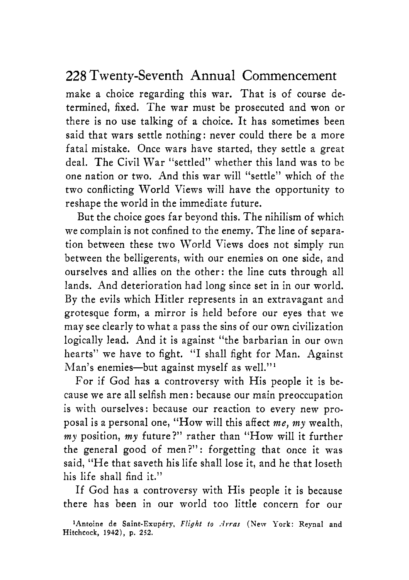make a choice regarding this war. That is of course determined, fixed. The war must be prosecuted and won or there is no use talking of a choice. It has sometimes been said that wars settle nothing: never could there be a more fatal mistake. Once wars have started, they settle a great deal. The Civil War "settled" whether this land was to be one nation or two. And this war will "settle" which of the two conflicting World Views will have the opportunity to reshape the world in the immediate future.

But the choice goes far beyond this. The nihilism of which we complain is not confined to the enemy. The line of separation between these two World Views does not simply run between the belligerents, with our enemies on one side, and ourselves and allies on the other: the line cuts through all lands. And deterioration had long since set in in our world. By the evils which Hitler represents in an extravagant and grotesque form, a mirror is held before our eyes that we may see clearly to what a pass the sins of our own civilization logically lead. And it is against "the barbarian in our own hearts" we have to fight. "I shall fight for Man. Against Man's enemies-but against myself as well."<sup>1</sup>

For if God has a controversy with His people it is because we are all selfish men : because our main preoccupation is with ourselves: because our reaction to every new proposal is a personal one, "How will this affect *me, my* wealth, *my* position, *my* future?'' rather than "How will it further the general good of men?": forgetting that once it was said, "He that saveth his life shall lose it, and he that loseth his life shall find it."

If God has a controversy with His people it is because there has been in our world too little concern for our

<sup>&</sup>lt;sup>1</sup>Antoine de Saint-Exupéry, Flight to *Arras* (New York: Reynal and Hitchcock, **1912),** p. **252.**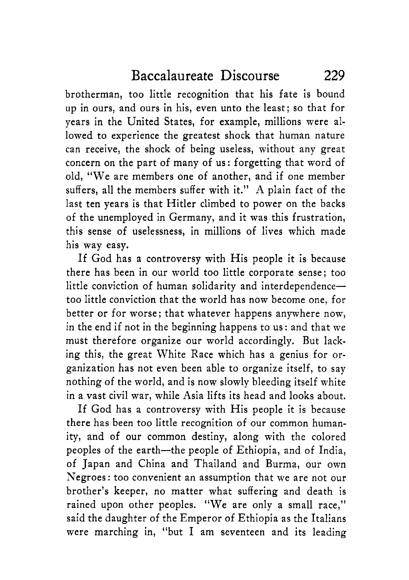brotherman, too little recognition that his fate is bound up in ours, and ours in his, even unto the least; so that for years in the United States, for example, millions were allowed to experience the greatest shock that human nature can receive, the shock of being useless, without any great concern on the part of many of us: forgetting that word of old, "We are members one of another, and if one member suffers, all the members suffer with it." A plain fact of the last ten years is that Hitler climbed to power on the backs of the unemployed in Germany, and it was this frustration, this sense of uselessness, in millions of lives which made his way easy.

If God has a controversy with His people it is because there has been in our world too little corporate sense; too little conviction of human solidarity and interdependencetoo little conviction that the world has now become one, for better or for worse; that whatever happens anywhere now, in the end if not in the beginning happens to us : and that we must therefore organize our world accordingly. But lacking this, the great White Race which has a genius for organization has not even been able to organize itself, to say nothing of the world, and is now slowly bleeding itself white in a vast civil war, while Asia lifts its head and looks about.

If God has a controversy with His people it is because there has been too little recognition of our common humanity, and of our common destiny, along with the colored peoples of the earth-the people of Ethiopia, and of India, of Japan and China and Thailand and Burma, our own Negroes: too convenient an assumption that we are not our brother's keeper, no matter what suffering and death is rained upon other peoples. "We are only a small race," said the daughter of the Emperor of Ethiopia as the Italians were marching in, "but I am seventeen and its leading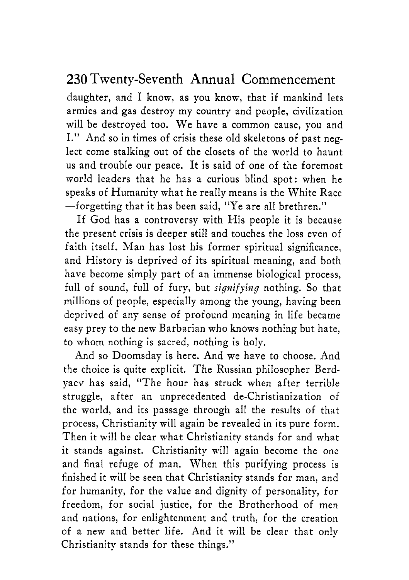daughter, and I know, as you know, that if mankind lets armies and gas destroy my country and people, civilization will be destroyed too. We have a common cause, you and I." And so in times of crisis these old skeletons of past neglect come stalking out of the closets of the world to haunt us and trouble our peace. It is said of one of the foremost world leaders that he has a curious blind spot: when he speaks of Humanity what he really means is the White Race -forgetting that it has been said, "Ye are all brethren."

If God has a controversy with His people it is because the present crisis is deeper still and touches the loss even of faith itself. Man has lost his former spiritual significance, and History is deprived of its spiritual meaning, and both have become simply part of an immense biological process, full of sound, full of fury, but *signifying* nothing. So that millions of people, especially among the young, having been deprived of any sense of profound meaning in life became easy prey to the new Barbarian who knows nothing but hate, to whom nothing is sacred, nothing is holy.

And so Doomsday is here. And we have to choose. And the choice is quite explicit. The Russian philosopher Berdyaev has said, "The hour has struck when after terrible struggle, after an unprecedented de-Christianization of the world, and its passage through all the results of that process, Christianity will again be revealed in its pure form. Then it will be clear what Christianity stands for and what it stands against. Christianity will again become the one and final refuge of man. When this purifying process is finished it will be seen that Christianity stands for man, and for humanity, for the value and dignity of personality, for freedom, for social justice, for the Brotherhood of men and nations, for enlightenment and truth, for the creation of a new and better life. And it will be clear that only Christianity stands for these things."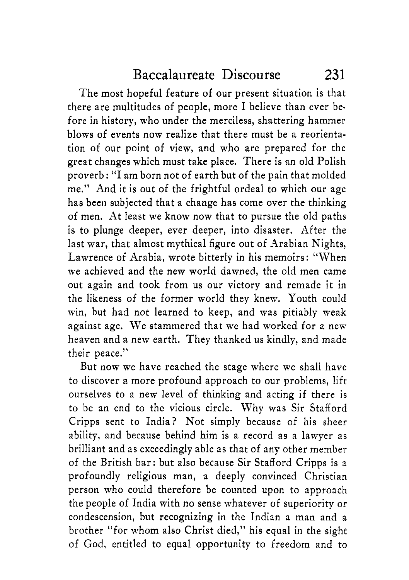The most hopeful feature of our present situation is that there are multitudes of people, more I believe than ever before in history, who under the merciless, shattering hammer blows of events now realize that there must be a reorientation of our point of view, and who are prepared for the great changes which must take place. There is an old Polish proverb : "I am born not of earth but of the pain that molded me." And it is out of the frightful ordeal to which our age has been subjected that a change has come over the thinking of men. At least we know now that to pursue the old paths is to plunge deeper, ever deeper, into disaster. After the last war, that almost mythical figure out of Arabian Nights, Lawrence of Arabia, wrote bitterly in his memoirs: "When we achieved and the new world dawned, the old men came out again and took from us our victory and remade it in the likeness of the former world they knew. Youth could win, but had not learned to keep, and was pitiably weak against age. We stammered that we had worked for a new heaven and a new earth. They thanked us kindly, and made their peace."

But now we have reached the stage where we shall have to discover a more profound approach to our problems, lift ourselves to a new level of thinking and acting if there is to be an end to the vicious circle. Why was Sir Stafford Cripps sent to India? Not simply because of his sheer ability, and because behind him is a record as a lawyer as brilliant and as exceedingly able as that of any other member of the British bar: but also because Sir Stafford Cripps is a profoundly religious man, a deeply convinced Christian person who could therefore be counted upon to approach the people of India with no sense whatever of superiority or condescension, but recognizing in the Indian a man and a brother "for whom also Christ died," his equal in the sight of God, entitled to equal opportunity to freedom and to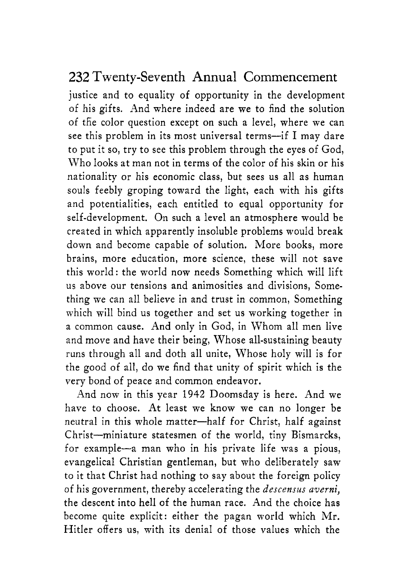justice and to equality of opportunity in the development of his gifts. And where indeed are we to find the solution of tfie color question except on such a level, where we can see this problem in its most universal terms-if I may dare to put it so, try to see this problem through the eyes of God, Who looks at man not in terms of the color of his skin or his nationality or his economic class, but sees us all as human souls feebly groping toward the light, each with his gifts and potentialities, each entitled to equal opportunity for self-development, On such a level an atmosphere would be created in which apparently insoluble problems would break down and become capable of solution. More books, more brains, more education, more science, these will not save this world: the world now needs Something which will lift us above our tensions and animosities and divisions, Something we can all believe in and trust in common, Something which will bind us together and set us working together in a common cause. And only in God, in Whom all men live and move and have their being, Whose all-sustaining beauty runs through all and doth all unite, Whose holy will is for the good of all, do we find that unity of spirit which is the very bond of peace and common endeavor.

And now in this year 1942 Doomsday is here. And we have to choose. At least we know we can no longer be neutral in this whole matter-half for Christ, half against Christ-miniature statesmen of the world, tiny Bismarcks, for example-a man who in his private life was a pious, evangelical Christian gentleman, but who deliberately saw to it that Christ had nothing to say about the foreign policy of his government, thereby accelerating the *descensus averni,*  the descent into hell of the human race. And the choice has become quite explicit: either the pagan world which Mr. Hitler offers us, with its denial of those values which the